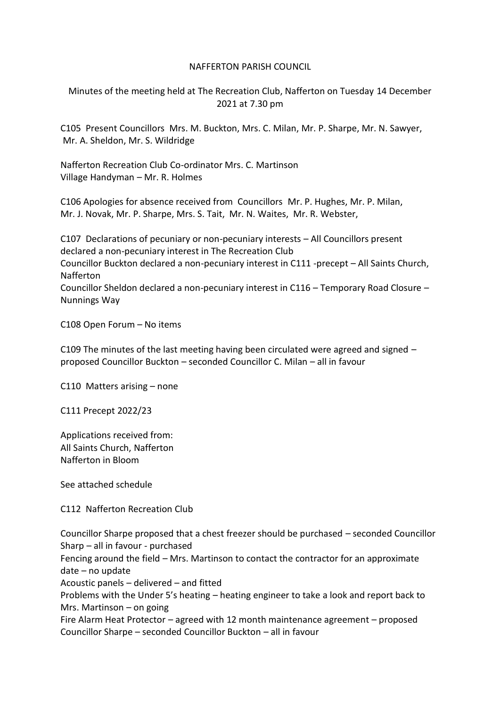#### NAFFERTON PARISH COUNCIL

Minutes of the meeting held at The Recreation Club, Nafferton on Tuesday 14 December 2021 at 7.30 pm

C105 Present Councillors Mrs. M. Buckton, Mrs. C. Milan, Mr. P. Sharpe, Mr. N. Sawyer, Mr. A. Sheldon, Mr. S. Wildridge

Nafferton Recreation Club Co-ordinator Mrs. C. Martinson Village Handyman – Mr. R. Holmes

C106 Apologies for absence received from Councillors Mr. P. Hughes, Mr. P. Milan, Mr. J. Novak, Mr. P. Sharpe, Mrs. S. Tait, Mr. N. Waites, Mr. R. Webster,

C107 Declarations of pecuniary or non-pecuniary interests – All Councillors present declared a non-pecuniary interest in The Recreation Club Councillor Buckton declared a non-pecuniary interest in C111 -precept – All Saints Church, Nafferton Councillor Sheldon declared a non-pecuniary interest in C116 – Temporary Road Closure – Nunnings Way

C108 Open Forum – No items

C109 The minutes of the last meeting having been circulated were agreed and signed – proposed Councillor Buckton – seconded Councillor C. Milan – all in favour

C110 Matters arising – none

C111 Precept 2022/23

Applications received from: All Saints Church, Nafferton Nafferton in Bloom

See attached schedule

C112 Nafferton Recreation Club

Councillor Sharpe proposed that a chest freezer should be purchased – seconded Councillor Sharp – all in favour - purchased Fencing around the field – Mrs. Martinson to contact the contractor for an approximate date – no update Acoustic panels – delivered – and fitted Problems with the Under 5's heating – heating engineer to take a look and report back to Mrs. Martinson – on going Fire Alarm Heat Protector – agreed with 12 month maintenance agreement – proposed Councillor Sharpe – seconded Councillor Buckton – all in favour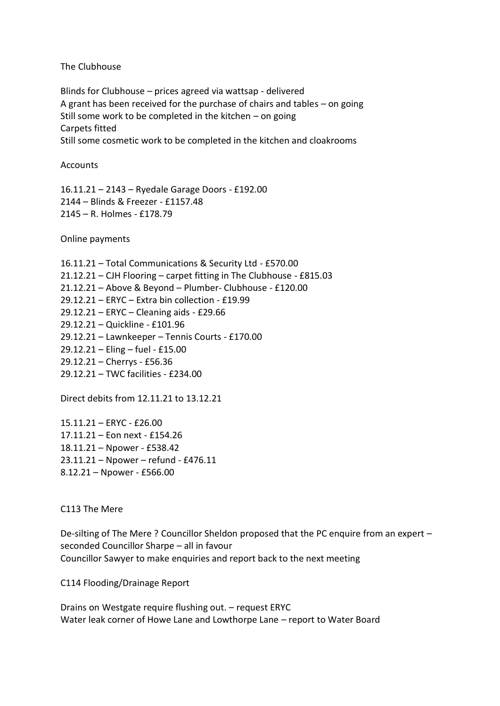The Clubhouse

Blinds for Clubhouse – prices agreed via wattsap - delivered A grant has been received for the purchase of chairs and tables – on going Still some work to be completed in the kitchen – on going Carpets fitted Still some cosmetic work to be completed in the kitchen and cloakrooms

**Accounts** 

16.11.21 – 2143 – Ryedale Garage Doors - £192.00 2144 – Blinds & Freezer - £1157.48 2145 – R. Holmes - £178.79

Online payments

16.11.21 – Total Communications & Security Ltd - £570.00 21.12.21 – CJH Flooring – carpet fitting in The Clubhouse - £815.03 21.12.21 – Above & Beyond – Plumber- Clubhouse - £120.00 29.12.21 – ERYC – Extra bin collection - £19.99 29.12.21 – ERYC – Cleaning aids - £29.66 29.12.21 – Quickline - £101.96 29.12.21 – Lawnkeeper – Tennis Courts - £170.00 29.12.21 – Eling – fuel - £15.00 29.12.21 – Cherrys - £56.36 29.12.21 – TWC facilities - £234.00

Direct debits from 12.11.21 to 13.12.21

15.11.21 – ERYC - £26.00 17.11.21 – Eon next - £154.26 18.11.21 – Npower - £538.42 23.11.21 – Npower – refund - £476.11 8.12.21 – Npower - £566.00

C113 The Mere

De-silting of The Mere ? Councillor Sheldon proposed that the PC enquire from an expert – seconded Councillor Sharpe – all in favour Councillor Sawyer to make enquiries and report back to the next meeting

C114 Flooding/Drainage Report

Drains on Westgate require flushing out. – request ERYC Water leak corner of Howe Lane and Lowthorpe Lane – report to Water Board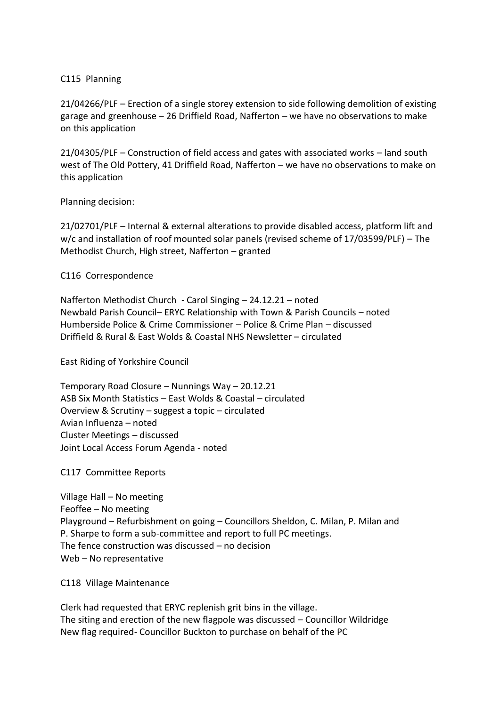### C115 Planning

21/04266/PLF – Erection of a single storey extension to side following demolition of existing garage and greenhouse – 26 Driffield Road, Nafferton – we have no observations to make on this application

21/04305/PLF – Construction of field access and gates with associated works – land south west of The Old Pottery, 41 Driffield Road, Nafferton – we have no observations to make on this application

#### Planning decision:

21/02701/PLF – Internal & external alterations to provide disabled access, platform lift and w/c and installation of roof mounted solar panels (revised scheme of 17/03599/PLF) – The Methodist Church, High street, Nafferton – granted

## C116 Correspondence

Nafferton Methodist Church - Carol Singing – 24.12.21 – noted Newbald Parish Council– ERYC Relationship with Town & Parish Councils – noted Humberside Police & Crime Commissioner – Police & Crime Plan – discussed Driffield & Rural & East Wolds & Coastal NHS Newsletter – circulated

East Riding of Yorkshire Council

Temporary Road Closure – Nunnings Way – 20.12.21 ASB Six Month Statistics – East Wolds & Coastal – circulated Overview & Scrutiny – suggest a topic – circulated Avian Influenza – noted Cluster Meetings – discussed Joint Local Access Forum Agenda - noted

# C117 Committee Reports

Village Hall – No meeting Feoffee – No meeting Playground – Refurbishment on going – Councillors Sheldon, C. Milan, P. Milan and P. Sharpe to form a sub-committee and report to full PC meetings. The fence construction was discussed – no decision Web – No representative

C118 Village Maintenance

Clerk had requested that ERYC replenish grit bins in the village. The siting and erection of the new flagpole was discussed – Councillor Wildridge New flag required- Councillor Buckton to purchase on behalf of the PC